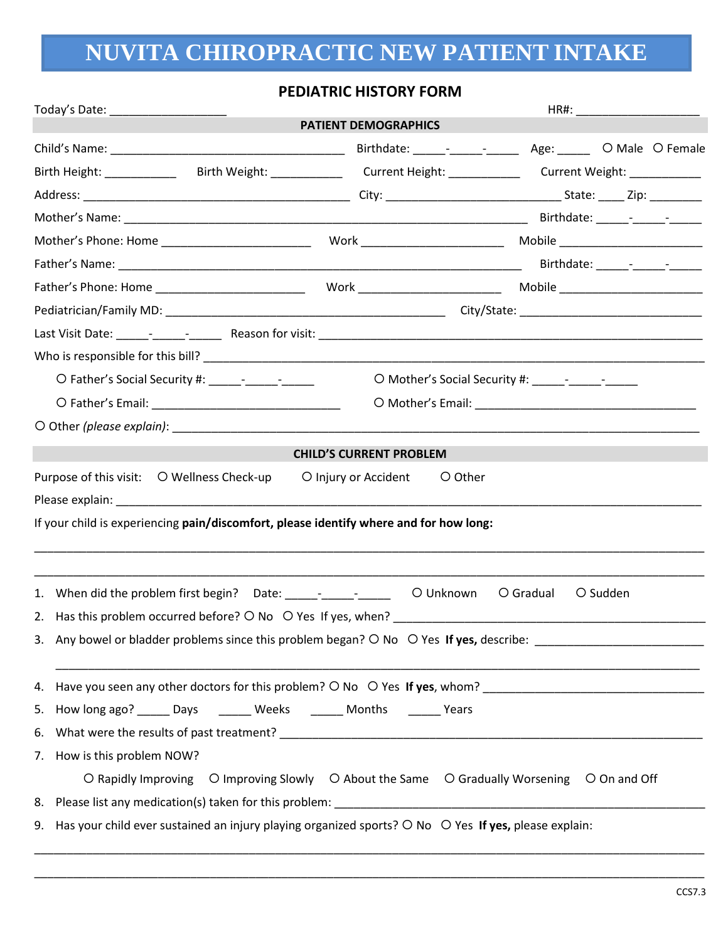## **NUVITA CHIROPRACTIC NEW PATIENT INTAKE**

| <b>PEDIATRIC HISTORY FORM</b> |  |  |
|-------------------------------|--|--|
|-------------------------------|--|--|

|                                                                                                                                                                                                             |                                 | HR#: __________________________ |          |  |
|-------------------------------------------------------------------------------------------------------------------------------------------------------------------------------------------------------------|---------------------------------|---------------------------------|----------|--|
|                                                                                                                                                                                                             | <b>PATIENT DEMOGRAPHICS</b>     |                                 |          |  |
|                                                                                                                                                                                                             |                                 |                                 |          |  |
| Birth Height: ______________ Birth Weight: _______________ Current Height: _____________ Current Weight: ___________                                                                                        |                                 |                                 |          |  |
|                                                                                                                                                                                                             |                                 |                                 |          |  |
|                                                                                                                                                                                                             |                                 |                                 |          |  |
|                                                                                                                                                                                                             |                                 |                                 |          |  |
|                                                                                                                                                                                                             |                                 |                                 |          |  |
|                                                                                                                                                                                                             |                                 |                                 |          |  |
|                                                                                                                                                                                                             |                                 |                                 |          |  |
|                                                                                                                                                                                                             |                                 |                                 |          |  |
|                                                                                                                                                                                                             |                                 |                                 |          |  |
|                                                                                                                                                                                                             |                                 |                                 |          |  |
|                                                                                                                                                                                                             |                                 |                                 |          |  |
|                                                                                                                                                                                                             |                                 |                                 |          |  |
|                                                                                                                                                                                                             | <b>CHILD'S CURRENT PROBLEM</b>  |                                 |          |  |
|                                                                                                                                                                                                             |                                 |                                 |          |  |
| Purpose of this visit: O Wellness Check-up<br>If your child is experiencing pain/discomfort, please identify where and for how long:                                                                        | O Injury or Accident<br>O Other |                                 |          |  |
| 1. When did the problem first begin? Date: _______________________________O Unknown<br>2.<br>3. Any bowel or bladder problems since this problem began? O No O Yes If yes, describe: ______________________ |                                 | O Gradual                       | O Sudden |  |

\_\_\_\_\_\_\_\_\_\_\_\_\_\_\_\_\_\_\_\_\_\_\_\_\_\_\_\_\_\_\_\_\_\_\_\_\_\_\_\_\_\_\_\_\_\_\_\_\_\_\_\_\_\_\_\_\_\_\_\_\_\_\_\_\_\_\_\_\_\_\_\_\_\_\_\_\_\_\_\_\_\_\_\_\_\_\_\_\_\_\_\_\_\_\_\_\_\_\_\_\_\_\_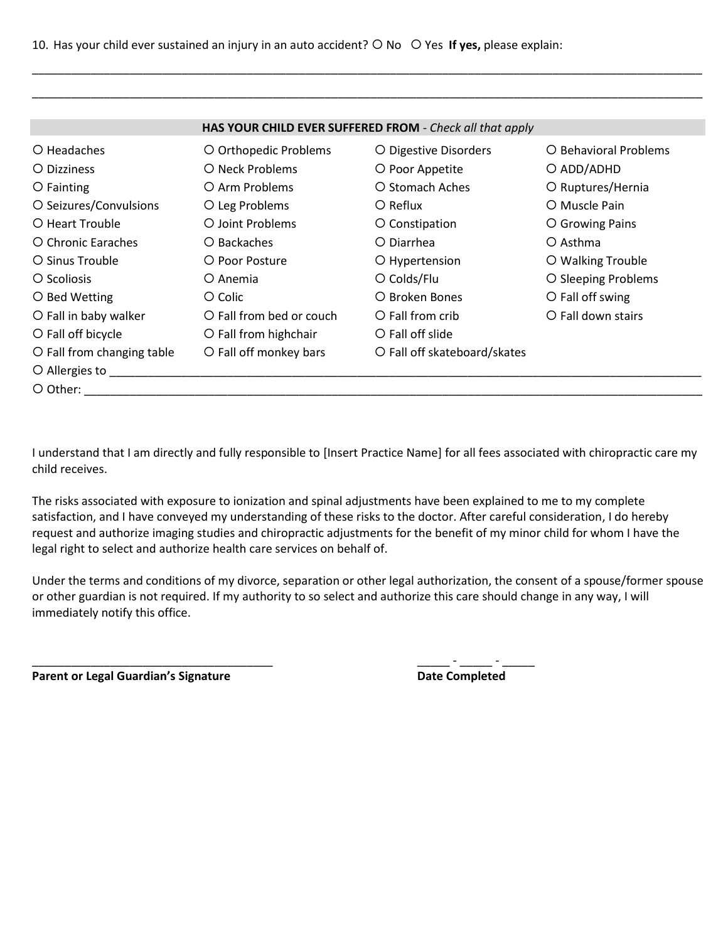10. Has your child ever sustained an injury in an auto accident? O No O Yes If yes, please explain:

| HAS YOUR CHILD EVER SUFFERED FROM - Check all that apply |                          |                              |                       |  |  |  |  |
|----------------------------------------------------------|--------------------------|------------------------------|-----------------------|--|--|--|--|
| O Headaches                                              | O Orthopedic Problems    | O Digestive Disorders        | O Behavioral Problems |  |  |  |  |
| O Dizziness                                              | O Neck Problems          | O Poor Appetite              | O ADD/ADHD            |  |  |  |  |
| $O$ Fainting                                             | O Arm Problems           | O Stomach Aches              | O Ruptures/Hernia     |  |  |  |  |
| O Seizures/Convulsions                                   | O Leg Problems           | $\bigcirc$ Reflux            | O Muscle Pain         |  |  |  |  |
| O Heart Trouble                                          | O Joint Problems         | O Constipation               | O Growing Pains       |  |  |  |  |
| O Chronic Earaches                                       | O Backaches              | O Diarrhea                   | O Asthma              |  |  |  |  |
| O Sinus Trouble                                          | O Poor Posture           | O Hypertension               | O Walking Trouble     |  |  |  |  |
| O Scoliosis                                              | O Anemia                 | O Colds/Flu                  | O Sleeping Problems   |  |  |  |  |
| O Bed Wetting                                            | O Colic                  | O Broken Bones               | O Fall off swing      |  |  |  |  |
| O Fall in baby walker                                    | O Fall from bed or couch | $\bigcirc$ Fall from crib    | O Fall down stairs    |  |  |  |  |
| O Fall off bicycle                                       | O Fall from highchair    | O Fall off slide             |                       |  |  |  |  |
| O Fall from changing table                               | O Fall off monkey bars   | O Fall off skateboard/skates |                       |  |  |  |  |
| O Allergies to                                           |                          |                              |                       |  |  |  |  |
| O Other:                                                 |                          |                              |                       |  |  |  |  |

\_\_\_\_\_\_\_\_\_\_\_\_\_\_\_\_\_\_\_\_\_\_\_\_\_\_\_\_\_\_\_\_\_\_\_\_\_\_\_\_\_\_\_\_\_\_\_\_\_\_\_\_\_\_\_\_\_\_\_\_\_\_\_\_\_\_\_\_\_\_\_\_\_\_\_\_\_\_\_\_\_\_\_\_\_\_\_\_\_\_\_\_\_\_\_\_\_\_\_\_\_\_\_

\_\_\_\_\_\_\_\_\_\_\_\_\_\_\_\_\_\_\_\_\_\_\_\_\_\_\_\_\_\_\_\_\_\_\_\_\_\_\_\_\_\_\_\_\_\_\_\_\_\_\_\_\_\_\_\_\_\_\_\_\_\_\_\_\_\_\_\_\_\_\_\_\_\_\_\_\_\_\_\_\_\_\_\_\_\_\_\_\_\_\_\_\_\_\_\_\_\_\_\_\_\_\_

I understand that I am directly and fully responsible to [Insert Practice Name] for all fees associated with chiropractic care my child receives.

The risks associated with exposure to ionization and spinal adjustments have been explained to me to my complete satisfaction, and I have conveyed my understanding of these risks to the doctor. After careful consideration, I do hereby request and authorize imaging studies and chiropractic adjustments for the benefit of my minor child for whom I have the legal right to select and authorize health care services on behalf of.

Under the terms and conditions of my divorce, separation or other legal authorization, the consent of a spouse/former spouse or other guardian is not required. If my authority to so select and authorize this care should change in any way, I will immediately notify this office.

**Parent or Legal Guardian's Signature Date Completed**

\_\_\_\_\_\_\_\_\_\_\_\_\_\_\_\_\_\_\_\_\_\_\_\_\_\_\_\_\_\_\_\_\_\_\_\_\_ \_\_\_\_\_ - \_\_\_\_\_ - \_\_\_\_\_